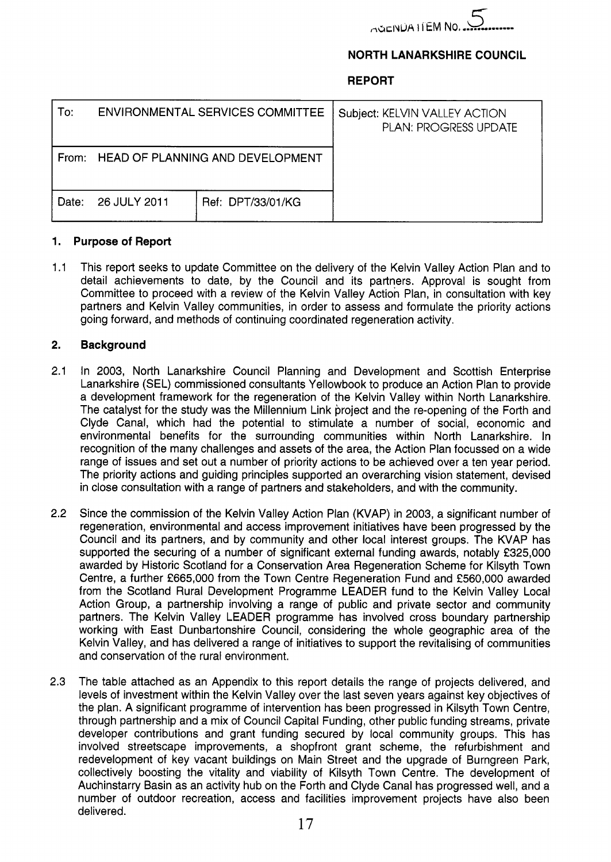

## **NORTH LANARKSHIRE COUNCIL**

## **REPORT**

| To:   | <b>ENVIRONMENTAL SERVICES COMMITTEE</b> |                   | Subject: KELVIN VALLEY ACTION<br><b>PLAN: PROGRESS UPDATE</b> |
|-------|-----------------------------------------|-------------------|---------------------------------------------------------------|
|       | From: HEAD OF PLANNING AND DEVELOPMENT  |                   |                                                               |
| Date: | 26 JULY 2011                            | Ref: DPT/33/01/KG |                                                               |

### **1. Purpose of Report**

1.1 This report seeks to update Committee on the delivery of the Kelvin Valley Action Plan and to detail achievements to date, by the Council and its partners. Approval is sought from Committee to proceed with a review of the Kelvin Valley Action Plan, in consultation with key partners and Kelvin Valley communities, in order to assess and formulate the priority actions going forward, and methods of continuing coordinated regeneration activity.

## **2. Background**

- 2.1 In 2003, North Lanarkshire Council Planning and Development and Scottish Enterprise Lanarkshire (SEL) commissioned consultants Yellowbook to produce an Action Plan to provide a development framework for the regeneration of the Kelvin Valley within North Lanarkshire. The catalyst for the study was the Millennium Link project and the re-opening of the Forth and Clyde Canal, which had the potential to stimulate a number of social, economic and environmental benefits for the surrounding communities within North Lanarkshire. In recognition of the many challenges and assets of the area, the Action Plan focussed on a wide range of issues and set out a number of priority actions to be achieved over a ten year period. The priority actions and guiding principles supported an overarching vision statement, devised in close consultation with a range of partners and stakeholders, and with the community.
- 2.2 Since the commission of the Kelvin Valley Action Plan (KVAP) in 2003, a significant number of regeneration, environmental and access improvement initiatives have been progressed by the Council and its partners, and by community and other local interest groups. The KVAP has supported the securing of a number of significant external funding awards, notably £325,000 awarded by Historic Scotland for a Conservation Area Regeneration Scheme for Kilsyth Town Centre, a further €665,000 from the Town Centre Regeneration Fund and €560,000 awarded from the Scotland Rural Development Programme LEADER fund to the Kelvin Valley Local Action Group, a partnership involving a range of public and private sector and community partners. The Kelvin Valley LEADER programme has involved cross boundary partnership working with East Dunbartonshire Council, considering the whole geographic area of the Kelvin Valley, and has delivered a range of initiatives to support the revitalising of communities and conservation of the rural environment.
- 2.3 The table attached as an Appendix to this report details the range of projects delivered, and levels of investment within the Kelvin Valley over the last seven years against key objectives of the plan. A significant programme of intervention has been progressed in Kilsyth Town Centre, through partnership and a mix of Council Capital Funding, other public funding streams, private developer contributions and grant funding secured by local community groups. This has involved streetscape improvements, a shopfront grant scheme, the refurbishment and redevelopment of key vacant buildings on Main Street and the upgrade of Burngreen Park, collectively boosting the vitality and viability of Kilsyth Town Centre. The development of Auchinstarry Basin as an activity hub on the Forth and Clyde Canal has progressed well, and a number of outdoor recreation, access and facilities improvement projects have also been delivered.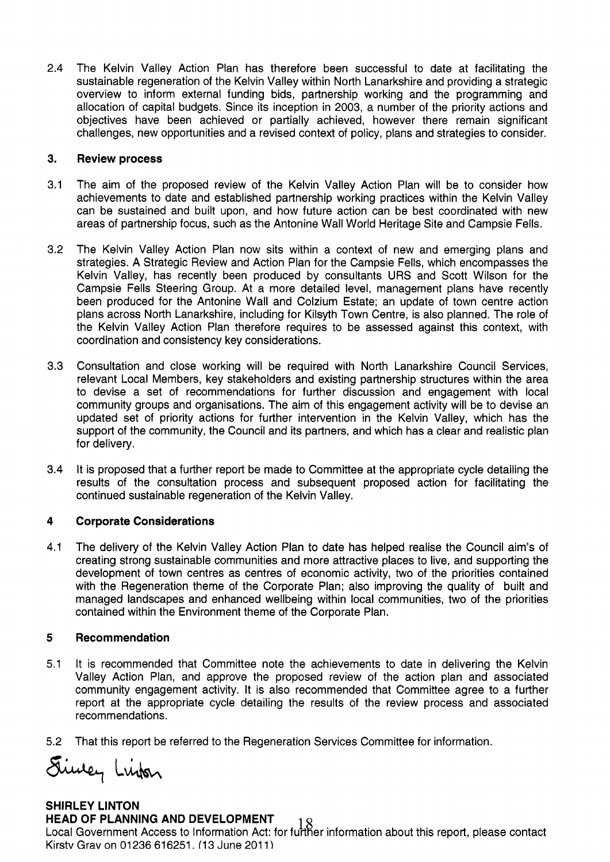2.4 The Kelvin Valley Action Plan has therefore been successful to date at facilitating the sustainable regeneration of the Kelvin Valley within North Lanarkshire and providing a strategic overview to inform external funding bids, partnership working and the programming and allocation of capital budgets. Since its inception in 2003, a number of the priority actions and objectives have been achieved or partially achieved, however there remain significant challenges, new opportunities and a revised context of policy, plans and strategies to consider.

#### **3. Review process**

- 3.1 The aim of the proposed review of the Kelvin Valley Action Plan will be to consider how achievements to date and established partnership working practices within the Kelvin Valley can be sustained and built upon, and how future action can be best coordinated with new areas of partnership focus, such as the Antonine Wall World Heritage Site and Campsie Fells.
- 3.2 The Kelvin Valley Action Plan now sits within a context of new and emerging plans and strategies. A Strategic Review and Action Plan for the Campsie Fells, which encompasses the Kelvin Valley, has recently been produced by consultants URS and Scott Wilson for the Campsie Fells Steering Group. At a more detailed level, management plans have recently been produced for the Antonine Wall and Colzium Estate; an update of town centre action plans across North Lanarkshire, including for Kilsyth Town Centre, is also planned. The role of the Kelvin Valley Action Plan therefore requires to be assessed against this context, with coordination and consistency key considerations.
- 3.3 Consultation and close working will be required with North Lanarkshire Council Services, relevant Local Members, key stakeholders and existing partnership structures within the area to devise a set of recommendations for further discussion and engagement with local community groups and organisations. The aim of this engagement activity will be to devise an updated set of priority actions for further intervention in the Kelvin Valley, which has the support of the community, the Council and its partners, and which has a clear and realistic plan for delivery.
- 3.4 It is proposed that a further report be made to Committee at the appropriate cycle detailing the results of the consultation process and subsequent proposed action for facilitating the continued sustainable regeneration of the Kelvin Valley.

#### **4 Corporate Considerations**

4.1 The delivery of the Kelvin Valley Action Plan to date has helped realise the Council aim's of creating strong sustainable communities and more attractive places to live, and supporting the development of town centres as centres of economic activity, two of the priorities contained with the Regeneration theme of the Corporate Plan; also improving the quality of built and managed landscapes and enhanced wellbeing within local communities, two of the priorities contained within the Environment theme of the Corporate Plan.

#### **5 Recommendation**

- 5.1 It is recommended that Committee note the achievements to date in delivering the Kelvin Valley Action Plan, and approve the proposed review of the action plan and associated community engagement activity. It is also recommended that Committee agree to a further report at the appropriate cycle detailing the results of the review process and associated recommendations.
- 5.2 That this report be referred to the Regeneration Services Committee for information.

Simey Linken

# **SHIRLEY LINTON**

## **HEAD OF PLANNING AND DEVELOPMENT**

Local Government Access to Information Act: for fukier information about this report, please contact Kirsty Grav on 01236 616251. (13 June 2011)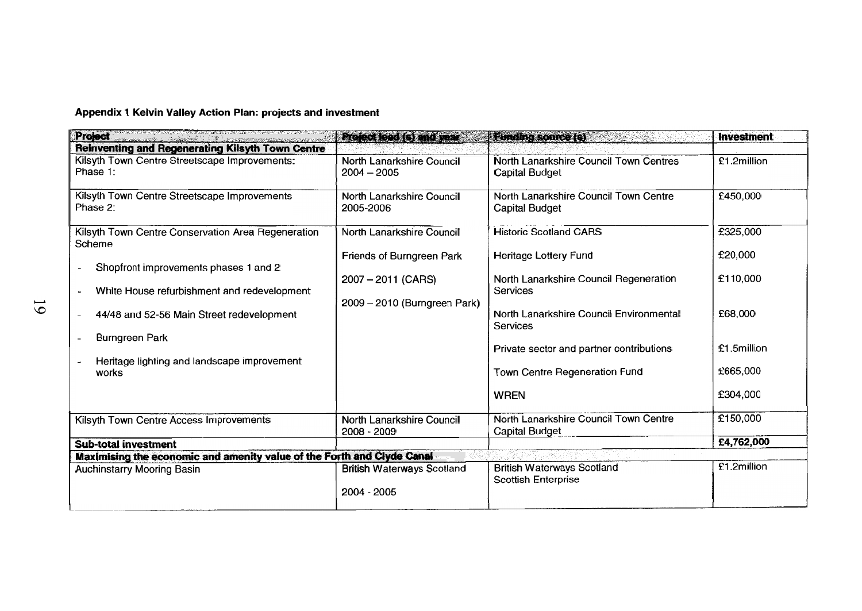**Appendix 1 Kelvin Valley Action Plan: projects and investment** 

| <b>Project</b>                                                         | <b>Stoccact (exister</b>                   | <b>Eunding source (s)</b>                                       | <b>Investment</b> |
|------------------------------------------------------------------------|--------------------------------------------|-----------------------------------------------------------------|-------------------|
| <b>Reinventing and Regenerating Kilsyth Town Centre</b>                |                                            |                                                                 |                   |
| Kilsyth Town Centre Streetscape Improvements:<br>Phase 1:              | North Lanarkshire Council<br>$2004 - 2005$ | North Lanarkshire Council Town Centres<br><b>Capital Budget</b> | £1.2million       |
| Kilsyth Town Centre Streetscape Improvements<br>Phase 2:               | North Lanarkshire Council<br>2005-2006     | North Lanarkshire Council Town Centre<br><b>Capital Budget</b>  | £450,000          |
| Kilsyth Town Centre Conservation Area Regeneration<br>Scheme           | North Lanarkshire Council                  | <b>Historic Scotland CARS</b>                                   | £325,000          |
| Shopfront improvements phases 1 and 2                                  | Friends of Burngreen Park                  | Heritage Lottery Fund                                           | £20,000           |
| White House refurbishment and redevelopment<br>$\blacksquare$          | $2007 - 2011$ (CARS)                       | North Lanarkshire Council Regeneration<br>Services              | £110,000          |
| 44/48 and 52-56 Main Street redevelopment                              | 2009 - 2010 (Burngreen Park)               | North Lanarkshire Council Environmental<br>Services             | £68,000           |
| <b>Burngreen Park</b><br>$\blacksquare$                                |                                            | Private sector and partner contributions                        | £1.5million       |
| Heritage lighting and landscape improvement<br>works                   |                                            | Town Centre Regeneration Fund                                   | £665,000          |
|                                                                        |                                            | <b>WREN</b>                                                     | £304,000          |
| Kilsyth Town Centre Access Improvements                                | North Lanarkshire Council<br>2008 - 2009   | North Lanarkshire Council Town Centre<br><b>Capital Budget</b>  | £150,000          |
| <b>Sub-total investment</b>                                            |                                            |                                                                 | £4,762,000        |
| Maximising the economic and amenity value of the Forth and Clyde Canal |                                            |                                                                 |                   |
| Auchinstarry Mooring Basin                                             | <b>British Waterways Scotland</b>          | <b>British Waterways Scotland</b><br><b>Scottish Enterprise</b> | £1.2million       |
|                                                                        | $2004 - 2005$                              |                                                                 |                   |

 $61$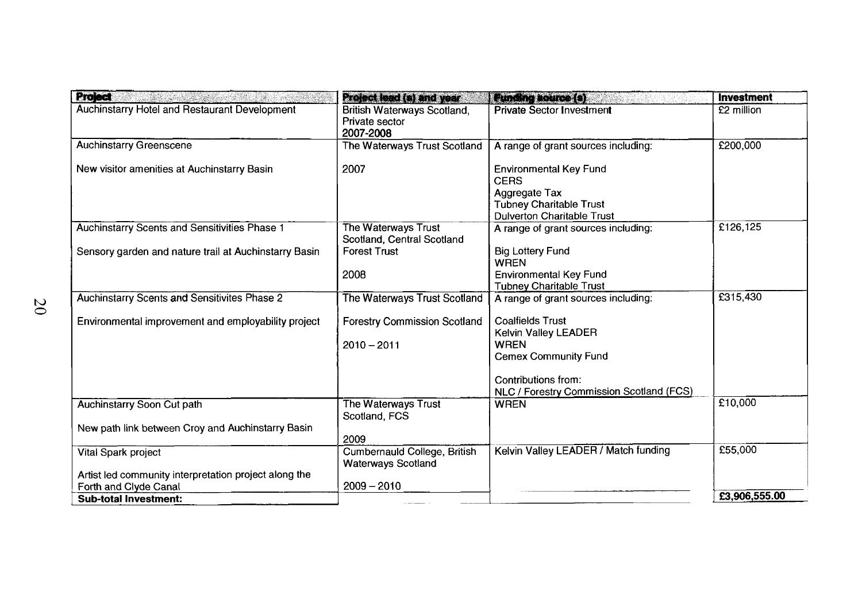| <b>Project</b>                                                                 | <b>Project lead (s) and year</b>                                  | <b>Funding source (s)</b>                                                                                                                   | <b>Investment</b> |
|--------------------------------------------------------------------------------|-------------------------------------------------------------------|---------------------------------------------------------------------------------------------------------------------------------------------|-------------------|
| Auchinstarry Hotel and Restaurant Development                                  | <b>British Waterways Scotland,</b><br>Private sector<br>2007-2008 | <b>Private Sector Investment</b>                                                                                                            | £2 million        |
| <b>Auchinstarry Greenscene</b>                                                 | The Waterways Trust Scotland                                      | A range of grant sources including:                                                                                                         | £200,000          |
| New visitor amenities at Auchinstarry Basin                                    | 2007                                                              | <b>Environmental Key Fund</b><br><b>CERS</b><br><b>Aggregate Tax</b><br><b>Tubney Charitable Trust</b><br><b>Dulverton Charitable Trust</b> |                   |
| Auchinstarry Scents and Sensitivities Phase 1                                  | The Waterways Trust<br>Scotland, Central Scotland                 | A range of grant sources including:                                                                                                         | £126,125          |
| Sensory garden and nature trail at Auchinstarry Basin                          | <b>Forest Trust</b>                                               | <b>Big Lottery Fund</b><br><b>WREN</b>                                                                                                      |                   |
|                                                                                | 2008                                                              | <b>Environmental Key Fund</b><br><b>Tubney Charitable Trust</b>                                                                             |                   |
| <b>Auchinstarry Scents and Sensitivites Phase 2</b>                            | The Waterways Trust Scotland                                      | A range of grant sources including:                                                                                                         | £315,430          |
| Environmental improvement and employability project                            | <b>Forestry Commission Scotland</b><br>$2010 - 2011$              | <b>Coalfields Trust</b><br>Kelvin Valley LEADER<br><b>WREN</b><br><b>Cemex Community Fund</b>                                               |                   |
|                                                                                |                                                                   | Contributions from:<br>NLC / Forestry Commission Scotland (FCS)                                                                             |                   |
| <b>Auchinstarry Soon Cut path</b>                                              | The Waterways Trust<br>Scotland, FCS                              | <b>WREN</b>                                                                                                                                 | £10,000           |
| New path link between Croy and Auchinstarry Basin                              | 2009                                                              |                                                                                                                                             |                   |
| Vital Spark project                                                            | Cumbernauld College, British<br><b>Waterways Scotland</b>         | Kelvin Valley LEADER / Match funding                                                                                                        | £55,000           |
| Artist led community interpretation project along the<br>Forth and Clyde Canal | $2009 - 2010$                                                     |                                                                                                                                             |                   |
| <b>Sub-total Investment:</b>                                                   |                                                                   |                                                                                                                                             | £3,906,555.00     |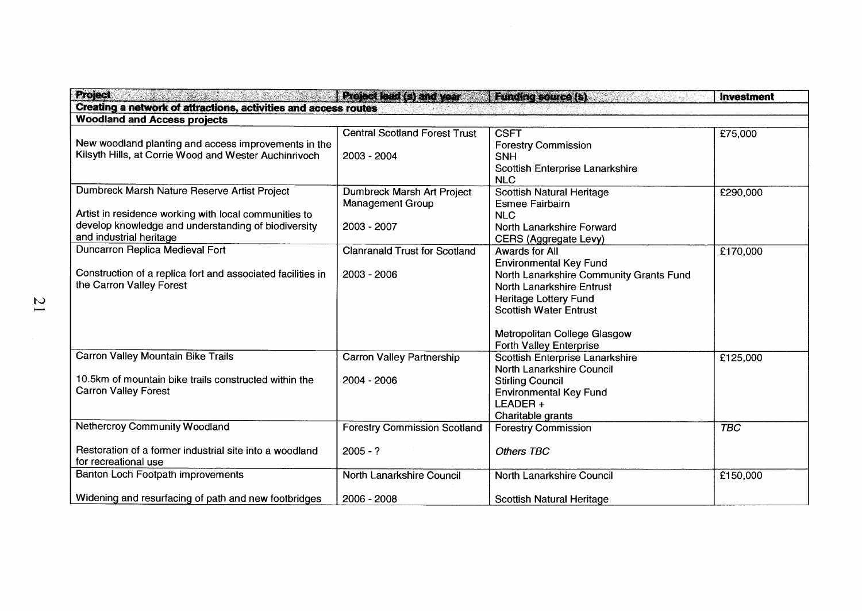| <b>Project</b>                                                  | <b>Project lead (s) and year:</b>    | <b>Funding source (s)</b>               | Investment |
|-----------------------------------------------------------------|--------------------------------------|-----------------------------------------|------------|
| Creating a network of attractions, activities and access routes |                                      |                                         |            |
| <b>Woodland and Access projects</b>                             |                                      |                                         |            |
|                                                                 | <b>Central Scotland Forest Trust</b> | <b>CSFT</b>                             | £75,000    |
| New woodland planting and access improvements in the            |                                      | <b>Forestry Commission</b>              |            |
| Kilsyth Hills, at Corrie Wood and Wester Auchinrivoch           | 2003 - 2004                          | <b>SNH</b>                              |            |
|                                                                 |                                      | Scottish Enterprise Lanarkshire         |            |
|                                                                 |                                      | <b>NLC</b>                              |            |
| Dumbreck Marsh Nature Reserve Artist Project                    | Dumbreck Marsh Art Project           | <b>Scottish Natural Heritage</b>        | £290,000   |
|                                                                 | <b>Management Group</b>              | <b>Esmee Fairbairn</b>                  |            |
| Artist in residence working with local communities to           |                                      | <b>NLC</b>                              |            |
| develop knowledge and understanding of biodiversity             | 2003 - 2007                          | North Lanarkshire Forward               |            |
| and industrial heritage                                         |                                      | CERS (Aggregate Levy)                   |            |
| Duncarron Replica Medieval Fort                                 | <b>Clanranald Trust for Scotland</b> | <b>Awards for All</b>                   | £170,000   |
|                                                                 |                                      | <b>Environmental Key Fund</b>           |            |
| Construction of a replica fort and associated facilities in     | 2003 - 2006                          | North Lanarkshire Community Grants Fund |            |
| the Carron Valley Forest                                        |                                      | North Lanarkshire Entrust               |            |
|                                                                 |                                      | Heritage Lottery Fund                   |            |
|                                                                 |                                      | <b>Scottish Water Entrust</b>           |            |
|                                                                 |                                      |                                         |            |
|                                                                 |                                      | Metropolitan College Glasgow            |            |
|                                                                 |                                      | Forth Valley Enterprise                 |            |
| Carron Valley Mountain Bike Trails                              | <b>Carron Valley Partnership</b>     | Scottish Enterprise Lanarkshire         | £125,000   |
|                                                                 |                                      | North Lanarkshire Council               |            |
| 10.5km of mountain bike trails constructed within the           | 2004 - 2006                          | <b>Stirling Council</b>                 |            |
| <b>Carron Valley Forest</b>                                     |                                      | <b>Environmental Key Fund</b>           |            |
|                                                                 |                                      | LEADER+                                 |            |
|                                                                 |                                      | Charitable grants                       |            |
| <b>Nethercroy Community Woodland</b>                            | <b>Forestry Commission Scotland</b>  | <b>Forestry Commission</b>              | <b>TBC</b> |
| Restoration of a former industrial site into a woodland         | $2005 - ?$                           | <b>Others TBC</b>                       |            |
| for recreational use                                            |                                      |                                         |            |
| Banton Loch Footpath improvements                               | North Lanarkshire Council            | North Lanarkshire Council               | £150,000   |
| Widening and resurfacing of path and new footbridges            | 2006 - 2008                          | <b>Scottish Natural Heritage</b>        |            |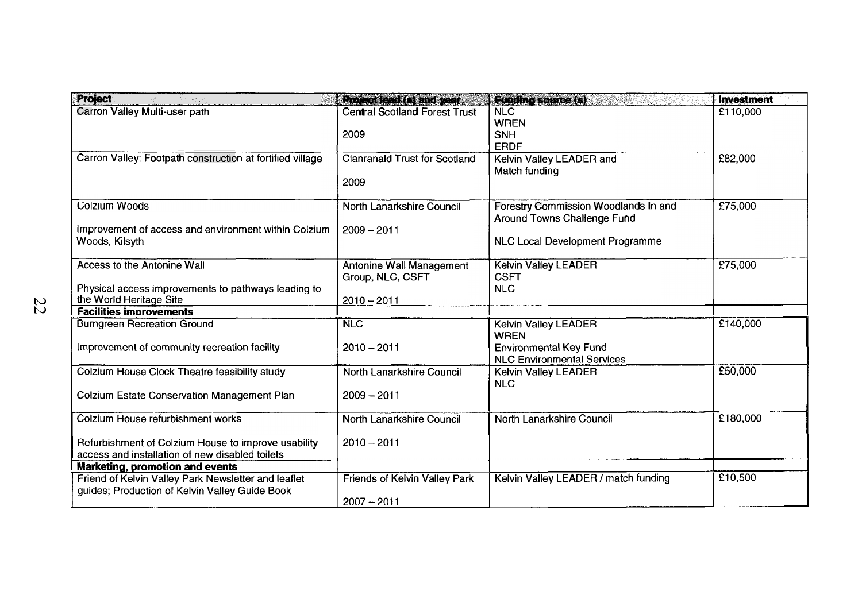| <b>Project</b>                                                                                        | La perfection de la componentación           | <b>Runnersomer Streets</b>                                          | <b>Investment</b> |
|-------------------------------------------------------------------------------------------------------|----------------------------------------------|---------------------------------------------------------------------|-------------------|
| Carron Valley Multi-user path                                                                         | <b>Central Scotland Forest Trust</b>         | NLC<br><b>WREN</b>                                                  | £110,000          |
|                                                                                                       | 2009                                         | <b>SNH</b><br><b>ERDF</b>                                           |                   |
| Carron Valley: Footpath construction at fortified village                                             | <b>Clanranald Trust for Scotland</b>         | Kelvin Valley LEADER and                                            | £82,000           |
|                                                                                                       | 2009                                         | Match funding                                                       |                   |
| Colzium Woods                                                                                         | North Lanarkshire Council                    | Forestry Commission Woodlands In and<br>Around Towns Challenge Fund | £75,000           |
| Improvement of access and environment within Colzium                                                  | $2009 - 2011$                                |                                                                     |                   |
| Woods, Kilsyth                                                                                        |                                              | <b>NLC Local Development Programme</b>                              |                   |
| Access to the Antonine Wall                                                                           | Antonine Wall Management<br>Group, NLC, CSFT | Kelvin Valley LEADER<br><b>CSFT</b>                                 | £75,000           |
| Physical access improvements to pathways leading to                                                   |                                              | <b>NLC</b>                                                          |                   |
| the World Heritage Site                                                                               | $2010 - 2011$                                |                                                                     |                   |
| <b>Facilities improvements</b>                                                                        |                                              |                                                                     |                   |
| <b>Burngreen Recreation Ground</b>                                                                    | <b>NLC</b>                                   | Kelvin Valley LEADER<br><b>WREN</b>                                 | £140,000          |
| Improvement of community recreation facility                                                          | $2010 - 2011$                                | <b>Environmental Key Fund</b><br><b>NLC Environmental Services</b>  |                   |
| Colzium House Clock Theatre feasibility study                                                         | North Lanarkshire Council                    | <b>Kelvin Valley LEADER</b><br><b>NLC</b>                           | £50,000           |
| <b>Colzium Estate Conservation Management Plan</b>                                                    | $2009 - 2011$                                |                                                                     |                   |
| Colzium House refurbishment works                                                                     | North Lanarkshire Council                    | North Lanarkshire Council                                           | £180,000          |
| Refurbishment of Colzium House to improve usability                                                   | $2010 - 2011$                                |                                                                     |                   |
| access and installation of new disabled toilets                                                       |                                              |                                                                     |                   |
| Marketing, promotion and events                                                                       |                                              |                                                                     |                   |
| Friend of Kelvin Valley Park Newsletter and leaflet<br>guides; Production of Kelvin Valley Guide Book | <b>Friends of Kelvin Valley Park</b>         | Kelvin Valley LEADER / match funding                                | £10,500           |
|                                                                                                       | $2007 - 2011$                                |                                                                     |                   |